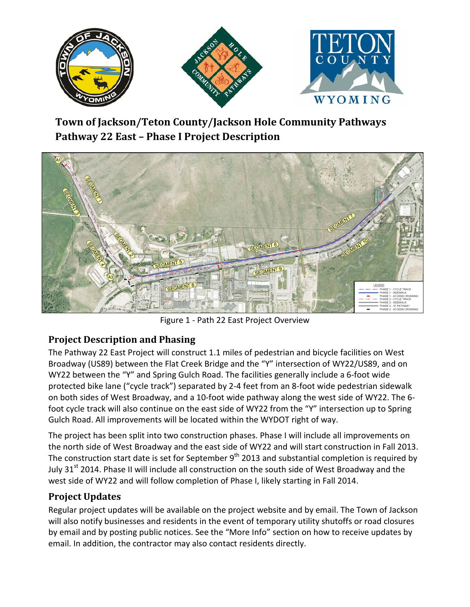

# **Town of Jackson/Teton County/Jackson Hole Community Pathways Pathway 22 East – Phase I Project Description**



Figure 1 - Path 22 East Project Overview

## **Project Description and Phasing**

The Pathway 22 East Project will construct 1.1 miles of pedestrian and bicycle facilities on West Broadway (US89) between the Flat Creek Bridge and the "Y" intersection of WY22/US89, and on WY22 between the "Y" and Spring Gulch Road. The facilities generally include a 6-foot wide protected bike lane ("cycle track") separated by 2-4 feet from an 8-foot wide pedestrian sidewalk on both sides of West Broadway, and a 10-foot wide pathway along the west side of WY22. The 6 foot cycle track will also continue on the east side of WY22 from the "Y" intersection up to Spring Gulch Road. All improvements will be located within the WYDOT right of way.

The project has been split into two construction phases. Phase I will include all improvements on the north side of West Broadway and the east side of WY22 and will start construction in Fall 2013. The construction start date is set for September  $9<sup>th</sup>$  2013 and substantial completion is required by July 31<sup>st</sup> 2014. Phase II will include all construction on the south side of West Broadway and the west side of WY22 and will follow completion of Phase I, likely starting in Fall 2014.

## **Project Updates**

Regular project updates will be available on the project website and by email. The Town of Jackson will also notify businesses and residents in the event of temporary utility shutoffs or road closures by email and by posting public notices. See the "More Info" section on how to receive updates by email. In addition, the contractor may also contact residents directly.